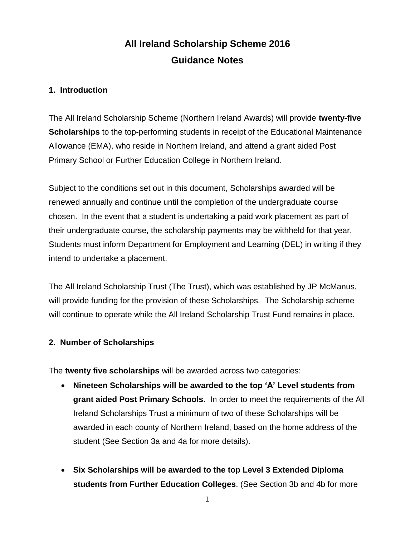# **All Ireland Scholarship Scheme 2016 Guidance Notes**

### **1. Introduction**

The All Ireland Scholarship Scheme (Northern Ireland Awards) will provide **twenty-five Scholarships** to the top-performing students in receipt of the Educational Maintenance Allowance (EMA), who reside in Northern Ireland, and attend a grant aided Post Primary School or Further Education College in Northern Ireland.

Subject to the conditions set out in this document, Scholarships awarded will be renewed annually and continue until the completion of the undergraduate course chosen. In the event that a student is undertaking a paid work placement as part of their undergraduate course, the scholarship payments may be withheld for that year. Students must inform Department for Employment and Learning (DEL) in writing if they intend to undertake a placement.

The All Ireland Scholarship Trust (The Trust), which was established by JP McManus, will provide funding for the provision of these Scholarships. The Scholarship scheme will continue to operate while the All Ireland Scholarship Trust Fund remains in place.

# **2. Number of Scholarships**

The **twenty five scholarships** will be awarded across two categories:

- **Nineteen Scholarships will be awarded to the top 'A' Level students from grant aided Post Primary Schools**. In order to meet the requirements of the All Ireland Scholarships Trust a minimum of two of these Scholarships will be awarded in each county of Northern Ireland, based on the home address of the student (See Section 3a and 4a for more details).
- **Six Scholarships will be awarded to the top Level 3 Extended Diploma students from Further Education Colleges**. (See Section 3b and 4b for more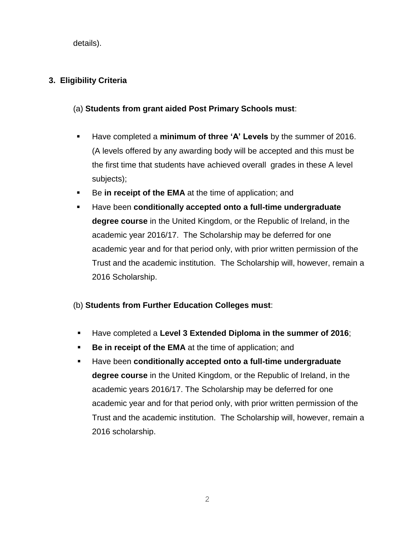details).

# **3. Eligibility Criteria**

# (a) **Students from grant aided Post Primary Schools must**:

- Have completed a **minimum of three 'A' Levels** by the summer of 2016. (A levels offered by any awarding body will be accepted and this must be the first time that students have achieved overall grades in these A level subjects);
- Be in receipt of the EMA at the time of application; and
- Have been **conditionally accepted onto a full-time undergraduate degree course** in the United Kingdom, or the Republic of Ireland, in the academic year 2016/17. The Scholarship may be deferred for one academic year and for that period only, with prior written permission of the Trust and the academic institution. The Scholarship will, however, remain a 2016 Scholarship.

# (b) **Students from Further Education Colleges must**:

- Have completed a **Level 3 Extended Diploma in the summer of 2016**;
- **Be in receipt of the EMA** at the time of application; and
- Have been **conditionally accepted onto a full-time undergraduate degree course** in the United Kingdom, or the Republic of Ireland, in the academic years 2016/17. The Scholarship may be deferred for one academic year and for that period only, with prior written permission of the Trust and the academic institution. The Scholarship will, however, remain a 2016 scholarship.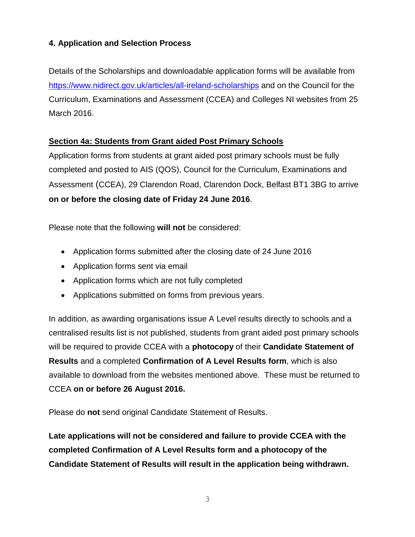# **4. Application and Selection Process**

Details of the Scholarships and downloadable application forms will be available from <https://www.nidirect.gov.uk/articles/all-ireland-scholarships> and on the Council for the Curriculum, Examinations and Assessment (CCEA) and Colleges NI websites from 25 March 2016.

### **Section 4a: Students from Grant aided Post Primary Schools**

Application forms from students at grant aided post primary schools must be fully completed and posted to AIS (QOS), Council for the Curriculum, Examinations and Assessment (CCEA), 29 Clarendon Road, Clarendon Dock, Belfast BT1 3BG to arrive **on or before the closing date of Friday 24 June 2016**.

Please note that the following **will not** be considered:

- Application forms submitted after the closing date of 24 June 2016
- Application forms sent via email
- Application forms which are not fully completed
- Applications submitted on forms from previous years.

In addition, as awarding organisations issue A Level results directly to schools and a centralised results list is not published, students from grant aided post primary schools will be required to provide CCEA with a **photocopy** of their **Candidate Statement of Results** and a completed **Confirmation of A Level Results form**, which is also available to download from the websites mentioned above. These must be returned to CCEA **on or before 26 August 2016.**

Please do **not** send original Candidate Statement of Results.

**Late applications will not be considered and failure to provide CCEA with the completed Confirmation of A Level Results form and a photocopy of the Candidate Statement of Results will result in the application being withdrawn.**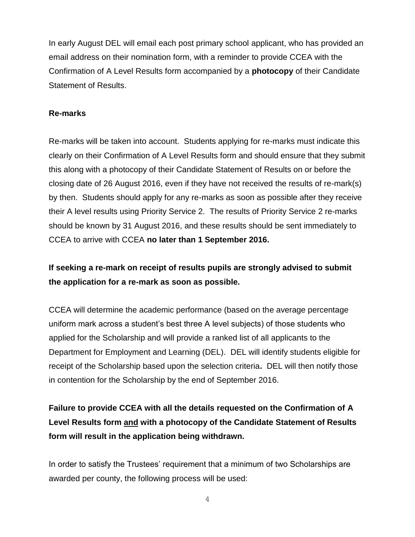In early August DEL will email each post primary school applicant, who has provided an email address on their nomination form, with a reminder to provide CCEA with the Confirmation of A Level Results form accompanied by a **photocopy** of their Candidate Statement of Results.

### **Re-marks**

Re-marks will be taken into account. Students applying for re-marks must indicate this clearly on their Confirmation of A Level Results form and should ensure that they submit this along with a photocopy of their Candidate Statement of Results on or before the closing date of 26 August 2016, even if they have not received the results of re-mark(s) by then. Students should apply for any re-marks as soon as possible after they receive their A level results using Priority Service 2. The results of Priority Service 2 re-marks should be known by 31 August 2016, and these results should be sent immediately to CCEA to arrive with CCEA **no later than 1 September 2016.**

# **If seeking a re-mark on receipt of results pupils are strongly advised to submit the application for a re-mark as soon as possible.**

CCEA will determine the academic performance (based on the average percentage uniform mark across a student's best three A level subjects) of those students who applied for the Scholarship and will provide a ranked list of all applicants to the Department for Employment and Learning (DEL). DEL will identify students eligible for receipt of the Scholarship based upon the selection criteria**.** DEL will then notify those in contention for the Scholarship by the end of September 2016.

**Failure to provide CCEA with all the details requested on the Confirmation of A Level Results form and with a photocopy of the Candidate Statement of Results form will result in the application being withdrawn.**

In order to satisfy the Trustees' requirement that a minimum of two Scholarships are awarded per county, the following process will be used: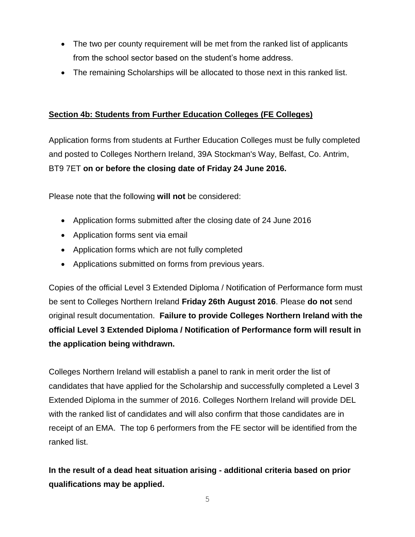- The two per county requirement will be met from the ranked list of applicants from the school sector based on the student's home address.
- The remaining Scholarships will be allocated to those next in this ranked list.

# **Section 4b: Students from Further Education Colleges (FE Colleges)**

Application forms from students at Further Education Colleges must be fully completed and posted to Colleges Northern Ireland, 39A Stockman's Way, Belfast, Co. Antrim, BT9 7ET **on or before the closing date of Friday 24 June 2016.**

Please note that the following **will not** be considered:

- Application forms submitted after the closing date of 24 June 2016
- Application forms sent via email
- Application forms which are not fully completed
- Applications submitted on forms from previous years.

Copies of the official Level 3 Extended Diploma / Notification of Performance form must be sent to Colleges Northern Ireland **Friday 26th August 2016**. Please **do not** send original result documentation. **Failure to provide Colleges Northern Ireland with the official Level 3 Extended Diploma / Notification of Performance form will result in the application being withdrawn.** 

Colleges Northern Ireland will establish a panel to rank in merit order the list of candidates that have applied for the Scholarship and successfully completed a Level 3 Extended Diploma in the summer of 2016. Colleges Northern Ireland will provide DEL with the ranked list of candidates and will also confirm that those candidates are in receipt of an EMA. The top 6 performers from the FE sector will be identified from the ranked list.

**In the result of a dead heat situation arising - additional criteria based on prior qualifications may be applied.**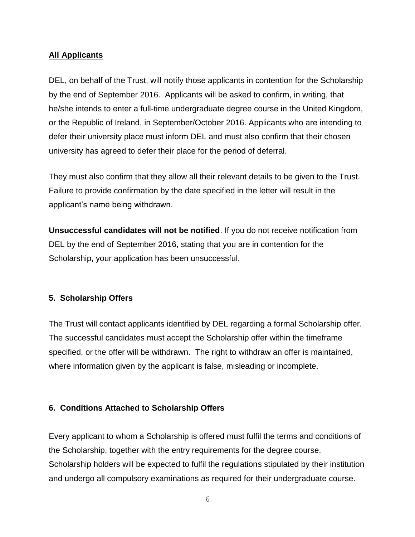### **All Applicants**

DEL, on behalf of the Trust, will notify those applicants in contention for the Scholarship by the end of September 2016. Applicants will be asked to confirm, in writing, that he/she intends to enter a full-time undergraduate degree course in the United Kingdom, or the Republic of Ireland, in September/October 2016. Applicants who are intending to defer their university place must inform DEL and must also confirm that their chosen university has agreed to defer their place for the period of deferral.

They must also confirm that they allow all their relevant details to be given to the Trust. Failure to provide confirmation by the date specified in the letter will result in the applicant's name being withdrawn.

**Unsuccessful candidates will not be notified**. If you do not receive notification from DEL by the end of September 2016, stating that you are in contention for the Scholarship, your application has been unsuccessful.

### **5. Scholarship Offers**

The Trust will contact applicants identified by DEL regarding a formal Scholarship offer. The successful candidates must accept the Scholarship offer within the timeframe specified, or the offer will be withdrawn. The right to withdraw an offer is maintained, where information given by the applicant is false, misleading or incomplete.

### **6. Conditions Attached to Scholarship Offers**

Every applicant to whom a Scholarship is offered must fulfil the terms and conditions of the Scholarship, together with the entry requirements for the degree course. Scholarship holders will be expected to fulfil the regulations stipulated by their institution and undergo all compulsory examinations as required for their undergraduate course.

6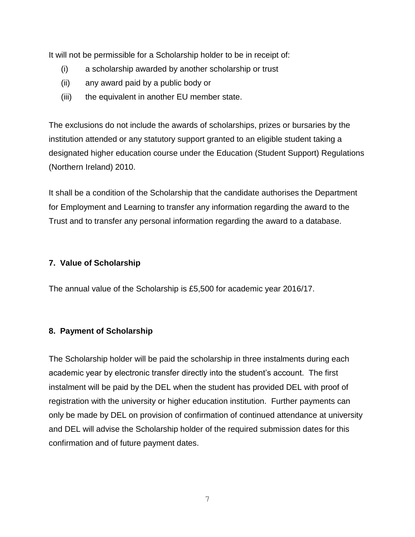It will not be permissible for a Scholarship holder to be in receipt of:

- (i) a scholarship awarded by another scholarship or trust
- (ii) any award paid by a public body or
- (iii) the equivalent in another EU member state.

The exclusions do not include the awards of scholarships, prizes or bursaries by the institution attended or any statutory support granted to an eligible student taking a designated higher education course under the Education (Student Support) Regulations (Northern Ireland) 2010.

It shall be a condition of the Scholarship that the candidate authorises the Department for Employment and Learning to transfer any information regarding the award to the Trust and to transfer any personal information regarding the award to a database.

### **7. Value of Scholarship**

The annual value of the Scholarship is £5,500 for academic year 2016/17.

### **8. Payment of Scholarship**

The Scholarship holder will be paid the scholarship in three instalments during each academic year by electronic transfer directly into the student's account. The first instalment will be paid by the DEL when the student has provided DEL with proof of registration with the university or higher education institution. Further payments can only be made by DEL on provision of confirmation of continued attendance at university and DEL will advise the Scholarship holder of the required submission dates for this confirmation and of future payment dates.